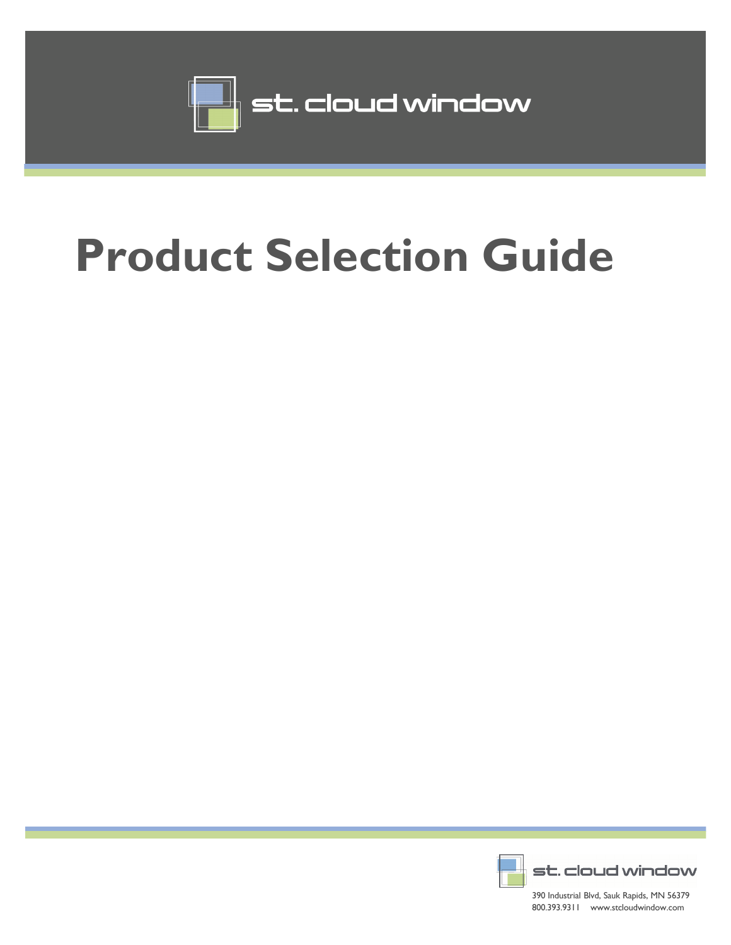

## **Product Selection Guide**



390 Industrial Blvd, Sauk Rapids, MN 56379 800.393.9311 www.stcloudwindow.com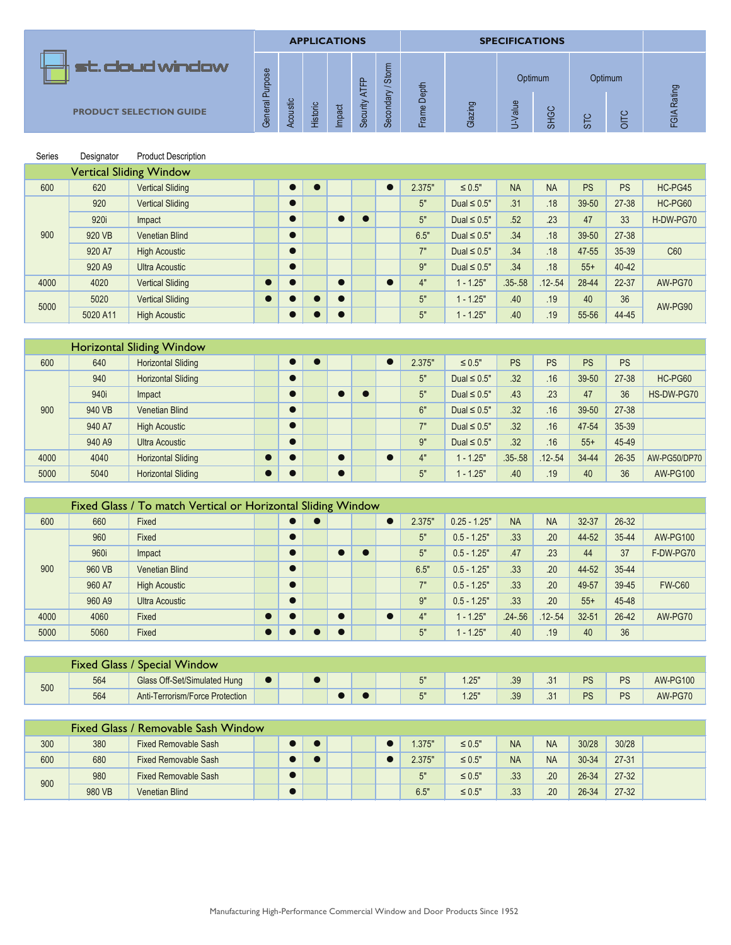|                                |                       |               |          | <b>APPLICATIONS</b> |               |                                              |               |         | <b>SPECIFICATIONS</b> |                |        |             |                |
|--------------------------------|-----------------------|---------------|----------|---------------------|---------------|----------------------------------------------|---------------|---------|-----------------------|----------------|--------|-------------|----------------|
| st. cloud window               | $s$ e<br>$\circ$<br>욘 |               |          |                     | <u>f</u><br>卞 | E<br>$rac{5}{3}$<br>$\overline{\phantom{0}}$ | Depth         |         |                       | Optimum        |        | Optimum     |                |
| <b>PRODUCT SELECTION GUIDE</b> | $\Omega$<br>General   | Acoustic<br>◅ | Historic | Impact              | Security      | dary<br>Secon                                | d).<br>៰<br>ய | Glazing | alue<br>-             | <b>SP</b><br>ळ | _<br>တ | ب<br>_<br>O | Rating<br>FGIA |

| Series | Designator | <b>Product Description</b>     |           |                |           |  |        |                   |             |             |           |           |           |
|--------|------------|--------------------------------|-----------|----------------|-----------|--|--------|-------------------|-------------|-------------|-----------|-----------|-----------|
|        |            | <b>Vertical Sliding Window</b> |           |                |           |  |        |                   |             |             |           |           |           |
| 600    | 620        | <b>Vertical Sliding</b>        |           | $\blacksquare$ |           |  | 2.375" | $\leq 0.5"$       | <b>NA</b>   | <b>NA</b>   | <b>PS</b> | <b>PS</b> | HC-PG45   |
|        | 920        | <b>Vertical Sliding</b>        |           |                |           |  | 5"     | Dual $\leq 0.5$ " | .31         | .18         | 39-50     | 27-38     | HC-PG60   |
|        | 920i       | Impact                         |           |                | $\bullet$ |  | 5"     | Dual $\leq 0.5$ " | .52         | .23         | 47        | 33        | H-DW-PG70 |
| 900    | 920 VB     | <b>Venetian Blind</b>          |           |                |           |  | 6.5"   | Dual $\leq 0.5$ " | .34         | .18         | 39-50     | 27-38     |           |
|        | 920 A7     | <b>High Acoustic</b>           |           |                |           |  | 7"     | Dual $\leq 0.5$ " | .34         | .18         | 47-55     | 35-39     | C60       |
|        | 920 A9     | <b>Ultra Acoustic</b>          |           |                |           |  | 9"     | Dual $\leq 0.5$ " | .34         | .18         | $55+$     | 40-42     |           |
| 4000   | 4020       | <b>Vertical Sliding</b>        | $\bullet$ |                | $\bullet$ |  | 4"     | $1 - 1.25"$       | $.35 - .58$ | $.12 - .54$ | 28-44     | 22-37     | AW-PG70   |
| 5000   | 5020       | <b>Vertical Sliding</b>        | $\bullet$ |                | $\bullet$ |  | 5"     | $1 - 1.25"$       | .40         | .19         | 40        | 36        | AW-PG90   |
|        | 5020 A11   | <b>High Acoustic</b>           |           |                | $\bullet$ |  | 5"     | $1 - 1.25"$       | .40         | .19         | 55-56     | 44-45     |           |

|      |        | <b>Horizontal Sliding Window</b> |  |  |  |        |                   |             |             |           |           |                 |
|------|--------|----------------------------------|--|--|--|--------|-------------------|-------------|-------------|-----------|-----------|-----------------|
| 600  | 640    | <b>Horizontal Sliding</b>        |  |  |  | 2.375" | $\leq 0.5"$       | <b>PS</b>   | <b>PS</b>   | <b>PS</b> | <b>PS</b> |                 |
|      | 940    | <b>Horizontal Sliding</b>        |  |  |  | 5"     | Dual $\leq 0.5$ " | .32         | .16         | 39-50     | 27-38     | HC-PG60         |
|      | 940i   | Impact                           |  |  |  | 5"     | Dual $\leq 0.5$ " | .43         | .23         | 47        | 36        | HS-DW-PG70      |
| 900  | 940 VB | <b>Venetian Blind</b>            |  |  |  | 6"     | Dual $\leq 0.5$ " | .32         | .16         | 39-50     | 27-38     |                 |
|      | 940 A7 | <b>High Acoustic</b>             |  |  |  | 7"     | Dual $\leq 0.5$ " | .32         | .16         | 47-54     | 35-39     |                 |
|      | 940 A9 | <b>Ultra Acoustic</b>            |  |  |  | 9"     | Dual $\leq 0.5$ " | .32         | .16         | $55+$     | 45-49     |                 |
| 4000 | 4040   | <b>Horizontal Sliding</b>        |  |  |  | 4"     | $-1.25"$          | $.35 - .58$ | $.12 - .54$ | 34-44     | 26-35     | AW-PG50/DP70    |
| 5000 | 5040   | <b>Horizontal Sliding</b>        |  |  |  | 5"     | $-1.25$           | .40         | .19         | 40        | 36        | <b>AW-PG100</b> |

|      |        | Fixed Glass / To match Vertical or Horizontal Sliding Window |  |  |  |        |                |             |             |           |         |                 |
|------|--------|--------------------------------------------------------------|--|--|--|--------|----------------|-------------|-------------|-----------|---------|-----------------|
| 600  | 660    | Fixed                                                        |  |  |  | 2.375" | $0.25 - 1.25"$ | <b>NA</b>   | <b>NA</b>   | 32-37     | 26-32   |                 |
|      | 960    | Fixed                                                        |  |  |  | 5"     | $0.5 - 1.25"$  | .33         | .20         | 44-52     | 35-44   | <b>AW-PG100</b> |
|      | 960i   | Impact                                                       |  |  |  | 5"     | $0.5 - 1.25"$  | .47         | .23         | 44        | 37      | F-DW-PG70       |
| 900  | 960 VB | <b>Venetian Blind</b>                                        |  |  |  | 6.5"   | $0.5 - 1.25"$  | .33         | .20         | 44-52     | 35-44   |                 |
|      | 960 A7 | <b>High Acoustic</b>                                         |  |  |  | 7"     | $0.5 - 1.25"$  | .33         | .20         | 49-57     | 39-45   | <b>FW-C60</b>   |
|      | 960 A9 | <b>Ultra Acoustic</b>                                        |  |  |  | 9"     | $0.5 - 1.25"$  | .33         | .20         | $55+$     | 45-48   |                 |
| 4000 | 4060   | Fixed                                                        |  |  |  | 4"     | $1 - 1.25"$    | $.24 - .56$ | $.12 - .54$ | $32 - 51$ | $26-42$ | AW-PG70         |
| 5000 | 5060   | Fixed                                                        |  |  |  | 5"     | $1 - 1.25"$    | .40         | .19         | 40        | 36      |                 |

|     | <b>Fixed Glass /</b> | ' Special Window                |  |  |  |                |     |     |     |           |    |                 |
|-----|----------------------|---------------------------------|--|--|--|----------------|-----|-----|-----|-----------|----|-----------------|
| 500 | 564                  | Glass Off-Set/Simulated Hung    |  |  |  | <b>「</b><br>ັບ | .25 | .39 | . ب | <b>PS</b> | PS | <b>AW-PG100</b> |
|     | 564                  | Anti-Terrorism/Force Protection |  |  |  | Γ"<br>◡        | .25 | .39 | . ب | <b>PS</b> | PS | AW-PG70         |

|     |        | Fixed Glass / Removable Sash Window |  |  |  |        |             |           |           |       |           |  |
|-----|--------|-------------------------------------|--|--|--|--------|-------------|-----------|-----------|-------|-----------|--|
| 300 | 380    | <b>Fixed Removable Sash</b>         |  |  |  | .375"  | $\leq 0.5"$ | <b>NA</b> | <b>NA</b> | 30/28 | 30/28     |  |
| 600 | 680    | <b>Fixed Removable Sash</b>         |  |  |  | 2.375" | $\leq 0.5"$ | <b>NA</b> | <b>NA</b> | 30-34 | $27 - 31$ |  |
| 900 | 980    | <b>Fixed Removable Sash</b>         |  |  |  | 5"     | $\leq 0.5"$ | .33       | .20       | 26-34 | $27 - 32$ |  |
|     | 980 VB | <b>Venetian Blind</b>               |  |  |  | 6.5"   | $\leq 0.5"$ | 33<br>.ں. | .20       | 26-34 | $27 - 32$ |  |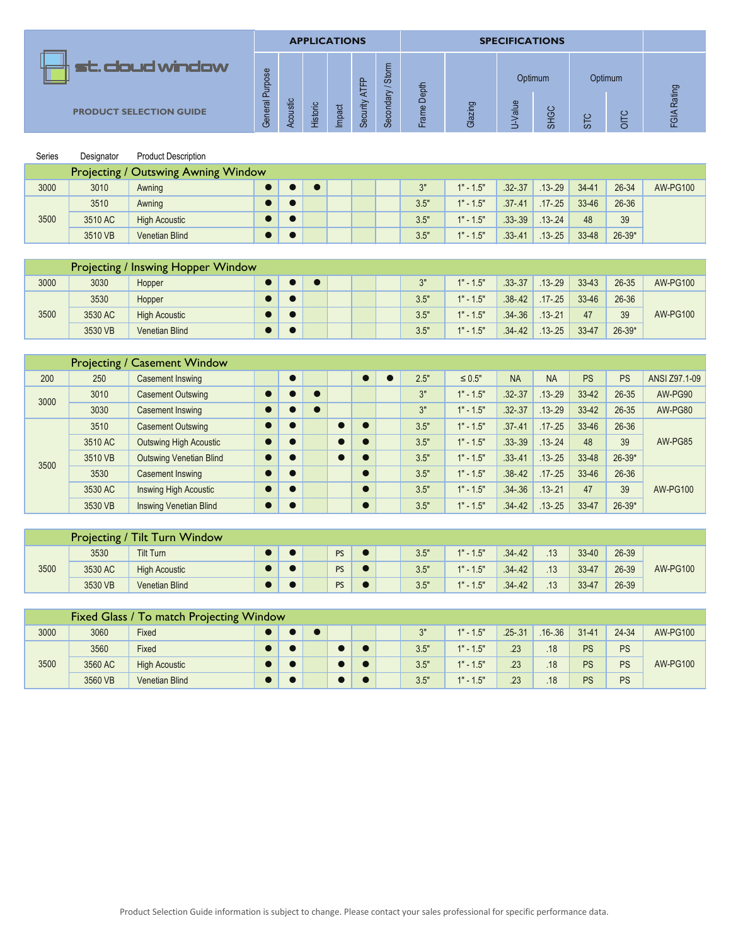|                                |              |                              | <b>APPLICATIONS</b> |        |               |                        |                  |                   | <b>SPECIFICATIONS</b> |             |    |                  |                |
|--------------------------------|--------------|------------------------------|---------------------|--------|---------------|------------------------|------------------|-------------------|-----------------------|-------------|----|------------------|----------------|
| st. cloud window               | urpose       |                              |                     |        | $\Omega$<br>ய | Storm                  | 늄                |                   |                       | Optimum     |    | Optimum          |                |
| <b>PRODUCT SELECTION GUIDE</b> | ൨<br>General | ustic<br>$\overline{8}$<br>✓ | <b>Historic</b>     | Impact | Security      | $\frac{1}{2}$<br>Secon | ¢<br>Ó<br>g<br>ட | ರಾ<br>≘.<br>Glazi | alue                  | ပ<br>ு<br>ळ | ō٥ | ပ<br>=<br>_<br>O | Rating<br>FGIA |

| Series | Designator | <b>Product Description</b>                 |  |  |  |      |             |             |             |           |          |                 |
|--------|------------|--------------------------------------------|--|--|--|------|-------------|-------------|-------------|-----------|----------|-----------------|
|        |            | <b>Projecting / Outswing Awning Window</b> |  |  |  |      |             |             |             |           |          |                 |
| 3000   | 3010       | Awning                                     |  |  |  | 3"   | $1" - 1.5"$ | $.32 - .37$ | $.13 - .29$ | $34 - 41$ | 26-34    | <b>AW-PG100</b> |
|        | 3510       | Awning                                     |  |  |  | 3.5" | $1" - 1.5"$ | $.37 - .41$ | $.17 - .25$ | 33-46     | 26-36    |                 |
| 3500   | 3510 AC    | <b>High Acoustic</b>                       |  |  |  | 3.5" | $1" - 1.5"$ | $.33 - .39$ | $.13 - .24$ | 48        | 39       |                 |
|        | 3510 VB    | <b>Venetian Blind</b>                      |  |  |  | 3.5" | $1" - 1.5"$ | $.33 - .41$ | $.13 - .25$ | 33-48     | $26-39*$ |                 |

|      |         | Projecting / Inswing Hopper Window |  |  |  |                |             |             |             |       |          |                 |
|------|---------|------------------------------------|--|--|--|----------------|-------------|-------------|-------------|-------|----------|-----------------|
| 3000 | 3030    | Hopper                             |  |  |  | 2 <sub>0</sub> | $1" - 1.5"$ | $.33 - .37$ | $.13 - .29$ | 33-43 | 26-35    | <b>AW-PG100</b> |
|      | 3530    | Hopper                             |  |  |  | 3.5"           | $1" - 1.5"$ | $.38 - .42$ | $.17 - .25$ | 33-46 | 26-36    |                 |
| 3500 | 3530 AC | <b>High Acoustic</b>               |  |  |  | 3.5"           | $1" - 1.5"$ | $.34 - .36$ | $.13 - .21$ | 47    | 39       | <b>AW-PG100</b> |
|      | 3530 VB | <b>Venetian Blind</b>              |  |  |  | 3.5"           | $1" - 1.5"$ | $.34 - .42$ | $.13 - .25$ | 33-47 | $26-39*$ |                 |

|               | <b>PRODUCT SELECTION GUIDE</b> |                                    |  | Acoustic  | <b>Historic</b> | Impact | Security ATH | Secondary / | Frame Dept | Glazing     | U-Value     | SHGC        | STC       | OITC       | FGIA Rating     |
|---------------|--------------------------------|------------------------------------|--|-----------|-----------------|--------|--------------|-------------|------------|-------------|-------------|-------------|-----------|------------|-----------------|
| <b>Series</b> | Designator                     | <b>Product Description</b>         |  |           |                 |        |              |             |            |             |             |             |           |            |                 |
|               | Projecting /                   | <b>Outswing Awning Window</b>      |  |           |                 |        |              |             |            |             |             |             |           |            |                 |
| 3000          | 3010                           | Awning                             |  | $\bullet$ | $\bullet$       |        |              |             | 3"         | $1" - 1.5"$ | $.32 - .37$ | $.13 - .29$ | $34 - 41$ | 26-34      | <b>AW-PG100</b> |
|               | 3510                           | Awning                             |  | $\bullet$ |                 |        |              |             | 3.5"       | $1" - 1.5"$ | $.37 - .41$ | $.17 - .25$ | 33-46     | 26-36      |                 |
| 3500          | 3510 AC                        | <b>High Acoustic</b>               |  |           |                 |        |              |             | 3.5"       | $1" - 1.5"$ | $.33 - .39$ | $.13 - .24$ | 48        | 39         |                 |
|               | 3510 VB                        | <b>Venetian Blind</b>              |  | $\bullet$ |                 |        |              |             | 3.5"       | $1" - 1.5"$ | $.33 - .41$ | $.13 - .25$ | 33-48     | $26 - 39*$ |                 |
|               |                                |                                    |  |           |                 |        |              |             |            |             |             |             |           |            |                 |
|               |                                | Projecting / Inswing Hopper Window |  |           |                 |        |              |             |            |             |             |             |           |            |                 |
| 3000          | 3030                           | Hopper                             |  | $\bullet$ | $\bullet$       |        |              |             | 3"         | $1" - 1.5"$ | $.33 - .37$ | $.13 - .29$ | $33 - 43$ | 26-35      | <b>AW-PG100</b> |
|               | 3530                           | Hopper                             |  | $\bullet$ |                 |        |              |             | 3.5"       | $1" - 1.5"$ | $.38 - .42$ | $.17 - .25$ | 33-46     | 26-36      |                 |
| 3500          | 3530 AC                        | <b>High Acoustic</b>               |  |           |                 |        |              |             | 3.5"       | $1" - 1.5"$ | $.34 - .36$ | $.13 - .21$ | 47        | 39         | <b>AW-PG100</b> |
|               | 3530 VB                        | <b>Venetian Blind</b>              |  | $\bullet$ |                 |        |              |             | 3.5"       | $1" - 1.5"$ | $.34 - .42$ | $.13 - .25$ | 33-47     | $26 - 39*$ |                 |
|               |                                |                                    |  |           |                 |        |              |             |            |             |             |             |           |            |                 |
|               | Projecting /                   | <b>Casement Window</b>             |  |           |                 |        |              |             |            |             |             |             |           |            |                 |
| 200           | 250                            | <b>Casement Inswing</b>            |  | $\bullet$ |                 |        | $\bullet$    | $\bullet$   | 2.5"       | $\leq 0.5"$ | <b>NA</b>   | <b>NA</b>   | <b>PS</b> | PS         | ANSI Z97.1-09   |
| 3000          | 3010                           | <b>Casement Outswing</b>           |  | $\bullet$ | $\bullet$       |        |              |             | 3"         | $1" - 1.5"$ | $.32 - .37$ | $.13 - .29$ | 33-42     | 26-35      | AW-PG90         |
|               | 3030                           | <b>Casement Inswing</b>            |  | $\bullet$ | $\bullet$       |        |              |             | 3"         | $1" - 1.5"$ | $.32 - .37$ | $.13 - .29$ | 33-42     | 26-35      | AW-PG80         |
|               | 3510                           | <b>Casement Outswing</b>           |  | $\bullet$ |                 |        | $\bullet$    |             | 3.5"       | $1" - 1.5"$ | $.37 - .41$ | $.17 - .25$ | 33-46     | 26-36      |                 |
|               | 3510 AC                        | <b>Outswing High Acoustic</b>      |  | $\bullet$ |                 |        | $\bullet$    |             | 3.5"       | $1" - 1.5"$ | $.33 - .39$ | $.13 - .24$ | 48        | 39         | AW-PG85         |
| 3500          | 3510 VB                        | <b>Outswing Venetian Blind</b>     |  | $\bullet$ |                 |        | $\bullet$    |             | 3.5"       | $1" - 1.5"$ | $.33 - .41$ | $.13 - .25$ | 33-48     | $26 - 39*$ |                 |
|               | 3530                           | <b>Casement Inswing</b>            |  | $\bullet$ |                 |        | $\bullet$    |             | 3.5"       | $1" - 1.5"$ | $.38 - .42$ | $.17 - .25$ | 33-46     | 26-36      |                 |
|               | 3530 AC                        | Inswing High Acoustic              |  | $\bullet$ |                 |        | $\bullet$    |             | 3.5"       | $1" - 1.5"$ | $.34 - .36$ | $.13 - .21$ | 47        | 39         | <b>AW-PG100</b> |
|               | 3530 VB                        | <b>Inswing Venetian Blind</b>      |  | $\bullet$ |                 |        | $\bullet$    |             | 3.5"       | $1" - 1.5"$ | $.34 - .42$ | $.13 - .25$ | 33-47     | $26 - 39*$ |                 |

|      |         | <b>Projecting / Tilt Turn Window</b> |  |           |  |      |             |             |     |       |       |                 |
|------|---------|--------------------------------------|--|-----------|--|------|-------------|-------------|-----|-------|-------|-----------------|
|      | 3530    | <b>Tilt Turn</b>                     |  | <b>PS</b> |  | 3.5" | $1" - 1.5"$ | $.34 - .42$ | .13 | 33-40 | 26-39 |                 |
| 3500 | 3530 AC | <b>High Acoustic</b>                 |  | <b>PS</b> |  | 3.5" | $1" - 1.5"$ | $.34 - .42$ | .13 | 33-47 | 26-39 | <b>AW-PG100</b> |
|      | 3530 VB | <b>Venetian Blind</b>                |  | <b>PS</b> |  | 3.5" | $1" - 1.5"$ | $.34 - .42$ | .13 | 33-47 | 26-39 |                 |

|      |         | Fixed Glass / To match Projecting Window |  |  |  |      |             |             |             |           |           |                 |
|------|---------|------------------------------------------|--|--|--|------|-------------|-------------|-------------|-----------|-----------|-----------------|
| 3000 | 3060    | Fixed                                    |  |  |  | 2"   | $1" - 1.5"$ | $.25 - .31$ | $.16 - .36$ | $31 - 41$ | 24-34     | <b>AW-PG100</b> |
|      | 3560    | Fixed                                    |  |  |  | 3.5" | $1" - 1.5"$ | .23         | .18         | <b>PS</b> | <b>PS</b> |                 |
| 3500 | 3560 AC | <b>High Acoustic</b>                     |  |  |  | 3.5" | $1" - 1.5"$ | .23         | .18         | <b>PS</b> | <b>PS</b> | <b>AW-PG100</b> |
|      | 3560 VB | <b>Venetian Blind</b>                    |  |  |  | 3.5" | $1" - 1.5"$ | .23         | .18         | <b>PS</b> | <b>PS</b> |                 |